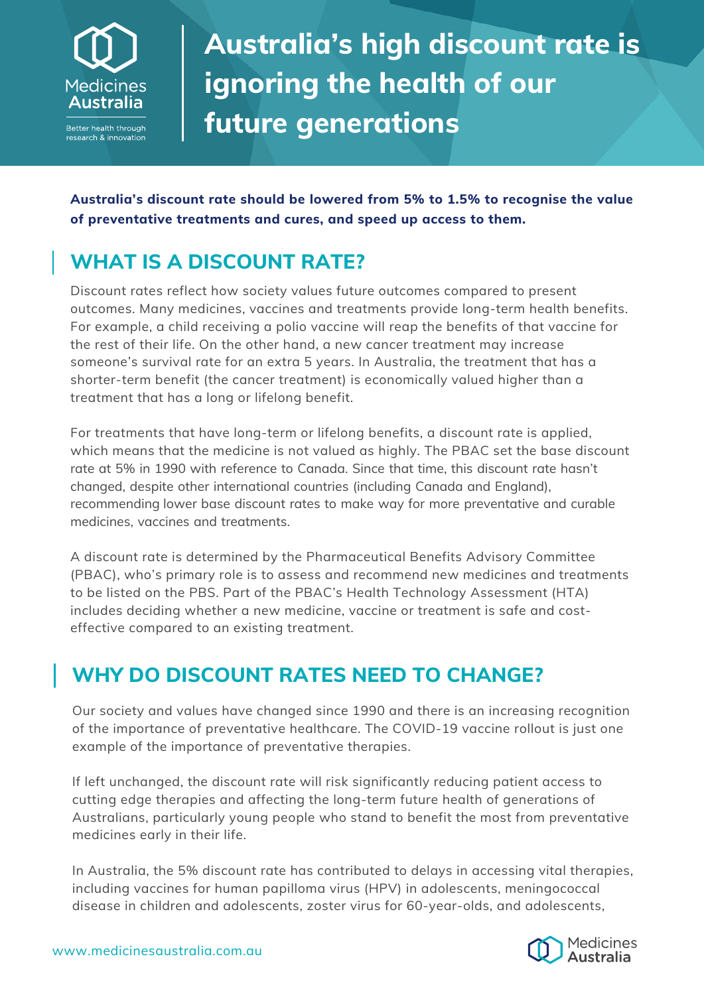

Better health through research & innovation

# **Australia's high discount rate is ignoring the health of our future generations**

**Australia's discount rate should be lowered from 5% to 1.5% to recognise the value of preventative treatments and cures, and speed up access to them.** 

## **WHAT IS A DISCOUNT RATE?**

Discount rates reflect how society values future outcomes compared to present outcomes. Many medicines, vaccines and treatments provide long-term health benefits. For example, a child receiving a polio vaccine will reap the benefits of that vaccine for the rest of their life. On the other hand, a new cancer treatment may increase someone's survival rate for an extra 5 years. In Australia, the treatment that has a shorter-term benefit (the cancer treatment) is economically valued higher than a treatment that has a long or lifelong benefit.

For treatments that have long-term or lifelong benefits, a discount rate is applied, which means that the medicine is not valued as highly. The PBAC set the base discount rate at 5% in 1990 with reference to Canada. Since that time, this discount rate hasn't changed, despite other international countries (including Canada and England), recommending lower base discount rates to make way for more preventative and curable medicines, vaccines and treatments.

A discount rate is determined by the Pharmaceutical Benefits Advisory Committee (PBAC), who's primary role is to assess and recommend new medicines and treatments to be listed on the PBS. Part of the PBAC's Health Technology Assessment (HTA) includes deciding whether a new medicine, vaccine or treatment is safe and costeffective compared to an existing treatment.

### **WHY DO DISCOUNT RATES NEED TO CHANGE?**

Our society and values have changed since 1990 and there is an increasing recognition of the importance of preventative healthcare. The COVID-19 vaccine rollout is just one example of the importance of preventative therapies.

If left unchanged, the discount rate will risk significantly reducing patient access to cutting edge therapies and affecting the long-term future health of generations of Australians, particularly young people who stand to benefit the most from preventative medicines early in their life.

In Australia, the 5% discount rate has contributed to delays in accessing vital therapies, including vaccines for human papilloma virus (HPV) in adolescents, meningococcal disease in children and adolescents, zoster virus for 60-year-olds, and adolescents,